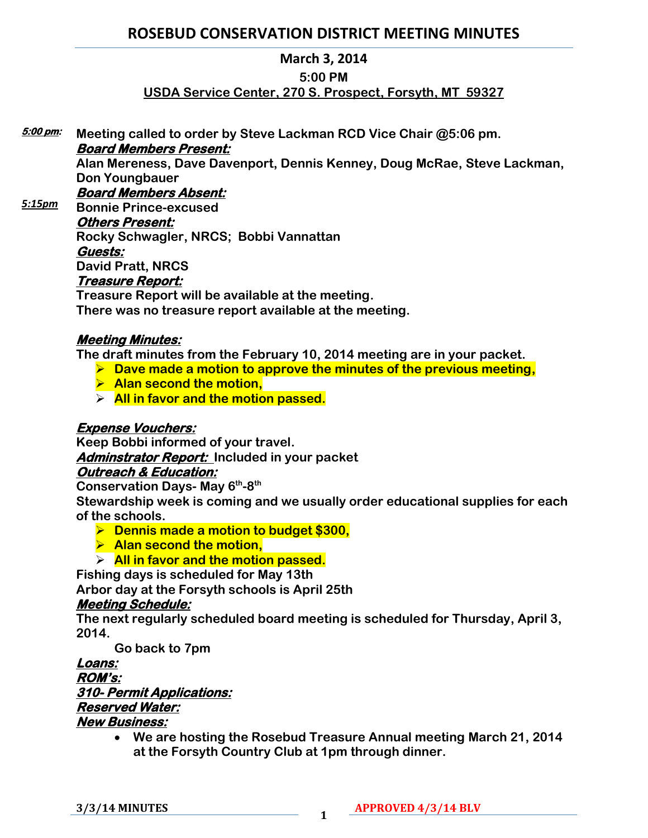# **ROSEBUD CONSERVATION DISTRICT MEETING MINUTES**

### **March 3, 2014**

#### **5:00 PM**

# **USDA Service Center, 270 S. Prospect, Forsyth, MT 59327**

**Meeting called to order by Steve Lackman RCD Vice Chair @5:06 pm. Board Members Present: 5:00 pm:** 

> **Alan Mereness, Dave Davenport, Dennis Kenney, Doug McRae, Steve Lackman, Don Youngbauer**

#### **Board Members Absent:**  *5:15pm*

**Bonnie Prince-excused Others Present: Rocky Schwagler, NRCS; Bobbi Vannattan Guests: David Pratt, NRCS Treasure Report:** 

**Treasure Report will be available at the meeting. There was no treasure report available at the meeting.**

# **Meeting Minutes:**

**The draft minutes from the February 10, 2014 meeting are in your packet.** 

- **Dave made a motion to approve the minutes of the previous meeting,**
- **Alan second the motion,**
- **All in favor and the motion passed.**

# **Expense Vouchers:**

**Keep Bobbi informed of your travel.** 

**Adminstrator Report: Included in your packet** 

#### **Outreach & Education:**

**Conservation Days- May 6th -8 th**

**Stewardship week is coming and we usually order educational supplies for each of the schools.** 

- **Dennis made a motion to budget \$300,**
- **Alan second the motion,**

# **All in favor and the motion passed.**

**Fishing days is scheduled for May 13th Arbor day at the Forsyth schools is April 25th**

# **Meeting Schedule:**

**The next regularly scheduled board meeting is scheduled for Thursday, April 3, 2014.** 

**Go back to 7pm**

#### **Loans: ROM's: 310- Permit Applications: Reserved Water: New Business:**

 **We are hosting the Rosebud Treasure Annual meeting March 21, 2014 at the Forsyth Country Club at 1pm through dinner.**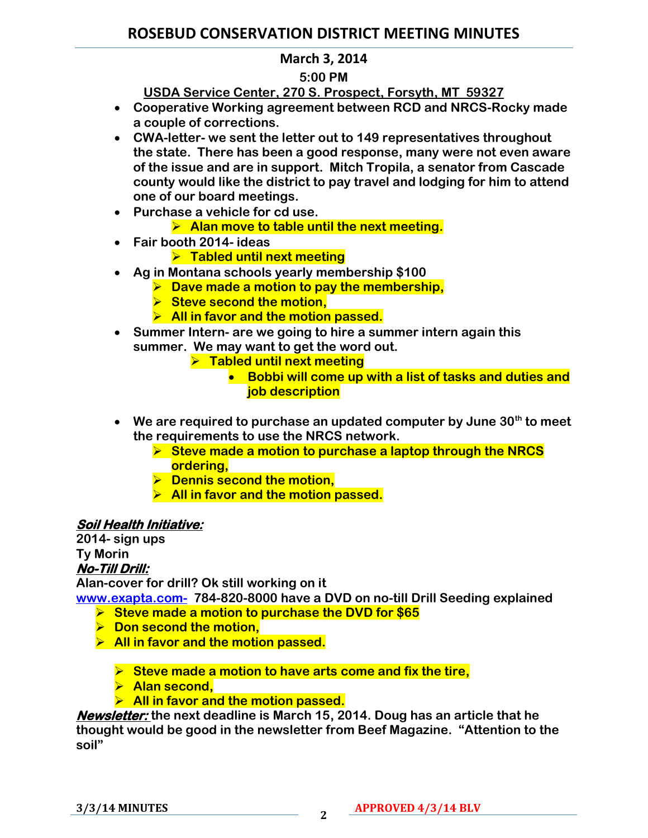# **ROSEBUD CONSERVATION DISTRICT MEETING MINUTES**

# **March 3, 2014**

### **5:00 PM**

**USDA Service Center, 270 S. Prospect, Forsyth, MT 59327**

- **Cooperative Working agreement between RCD and NRCS-Rocky made a couple of corrections.**
- **CWA-letter- we sent the letter out to 149 representatives throughout the state. There has been a good response, many were not even aware of the issue and are in support. Mitch Tropila, a senator from Cascade county would like the district to pay travel and lodging for him to attend one of our board meetings.**
- **Purchase a vehicle for cd use.** 
	- **Alan move to table until the next meeting.**
- **Fair booth 2014- ideas**
	- **Tabled until next meeting**
- **Ag in Montana schools yearly membership \$100**
	- **Dave made a motion to pay the membership,**
	- **Steve second the motion,**
	- **All in favor and the motion passed.**
- **Summer Intern- are we going to hire a summer intern again this summer. We may want to get the word out.** 
	- **Fabled until next meeting** 
		- **Bobbi will come up with a list of tasks and duties and job description**
- **We are required to purchase an updated computer by June 30th to meet the requirements to use the NRCS network.** 
	- **Steve made a motion to purchase a laptop through the NRCS ordering,**
	- $\triangleright$  Dennis second the motion,
	- **All in favor and the motion passed.**

# **Soil Health Initiative:**

**2014- sign ups Ty Morin**

#### **No-Till Drill:**

**Alan-cover for drill? Ok still working on it**

**[www.exapta.com-](http://www.exapta.com-/) 784-820-8000 have a DVD on no-till Drill Seeding explained**

- **Steve made a motion to purchase the DVD for \$65**
- $\triangleright$  Don second the motion,
- **All in favor and the motion passed.**

**Steve made a motion to have arts come and fix the tire,**

- **Alan second,**
- **All in favor and the motion passed.**

**Newsletter: the next deadline is March 15, 2014. Doug has an article that he thought would be good in the newsletter from Beef Magazine. "Attention to the soil"**